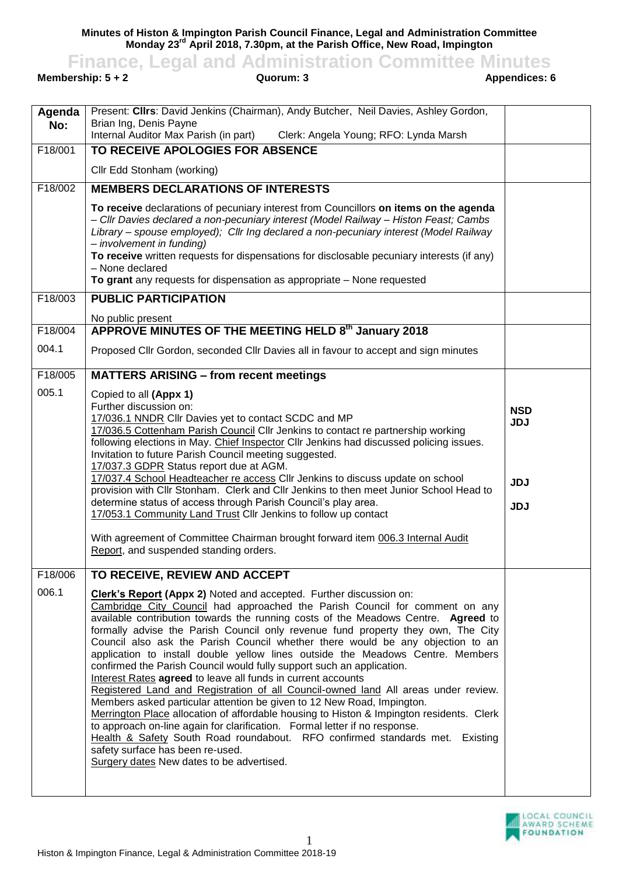**Minutes of Histon & Impington Parish Council Finance, Legal and Administration Committee Monday 23rd April 2018, 7.30pm, at the Parish Office, New Road, Impington**

**Finance, Legal and Administration Committee Minutes**<br>**auorum: 3**<br>**Appendices: 6**<br>**Appendices: 6** 

**Membership: 5 + 2** 

| Present: Cllrs: David Jenkins (Chairman), Andy Butcher, Neil Davies, Ashley Gordon,<br>Agenda<br>Brian Ing, Denis Payne<br>No:<br>Internal Auditor Max Parish (in part)<br>Clerk: Angela Young; RFO: Lynda Marsh<br>$\overline{F18}$ /001<br>TO RECEIVE APOLOGIES FOR ABSENCE<br>Cllr Edd Stonham (working)<br>F18/002<br><b>MEMBERS DECLARATIONS OF INTERESTS</b><br>To receive declarations of pecuniary interest from Councillors on items on the agenda<br>- Cllr Davies declared a non-pecuniary interest (Model Railway - Histon Feast; Cambs<br>Library – spouse employed); Cllr Ing declared a non-pecuniary interest (Model Railway<br>- involvement in funding)<br>To receive written requests for dispensations for disclosable pecuniary interests (if any)<br>- None declared<br>To grant any requests for dispensation as appropriate - None requested<br><b>PUBLIC PARTICIPATION</b><br>F18/003<br>No public present<br>APPROVE MINUTES OF THE MEETING HELD 8th January 2018<br>F18/004<br>004.1<br>Proposed Cllr Gordon, seconded Cllr Davies all in favour to accept and sign minutes<br>F18/005<br><b>MATTERS ARISING - from recent meetings</b><br>005.1<br>Copied to all (Appx 1)<br>Further discussion on:<br><b>NSD</b><br>17/036.1 NNDR Cllr Davies yet to contact SCDC and MP<br><b>JDJ</b><br>17/036.5 Cottenham Parish Council Cllr Jenkins to contact re partnership working<br>following elections in May. Chief Inspector Cllr Jenkins had discussed policing issues.<br>Invitation to future Parish Council meeting suggested. |  |
|--------------------------------------------------------------------------------------------------------------------------------------------------------------------------------------------------------------------------------------------------------------------------------------------------------------------------------------------------------------------------------------------------------------------------------------------------------------------------------------------------------------------------------------------------------------------------------------------------------------------------------------------------------------------------------------------------------------------------------------------------------------------------------------------------------------------------------------------------------------------------------------------------------------------------------------------------------------------------------------------------------------------------------------------------------------------------------------------------------------------------------------------------------------------------------------------------------------------------------------------------------------------------------------------------------------------------------------------------------------------------------------------------------------------------------------------------------------------------------------------------------------------------------------------------------------|--|
|                                                                                                                                                                                                                                                                                                                                                                                                                                                                                                                                                                                                                                                                                                                                                                                                                                                                                                                                                                                                                                                                                                                                                                                                                                                                                                                                                                                                                                                                                                                                                              |  |
|                                                                                                                                                                                                                                                                                                                                                                                                                                                                                                                                                                                                                                                                                                                                                                                                                                                                                                                                                                                                                                                                                                                                                                                                                                                                                                                                                                                                                                                                                                                                                              |  |
|                                                                                                                                                                                                                                                                                                                                                                                                                                                                                                                                                                                                                                                                                                                                                                                                                                                                                                                                                                                                                                                                                                                                                                                                                                                                                                                                                                                                                                                                                                                                                              |  |
|                                                                                                                                                                                                                                                                                                                                                                                                                                                                                                                                                                                                                                                                                                                                                                                                                                                                                                                                                                                                                                                                                                                                                                                                                                                                                                                                                                                                                                                                                                                                                              |  |
|                                                                                                                                                                                                                                                                                                                                                                                                                                                                                                                                                                                                                                                                                                                                                                                                                                                                                                                                                                                                                                                                                                                                                                                                                                                                                                                                                                                                                                                                                                                                                              |  |
|                                                                                                                                                                                                                                                                                                                                                                                                                                                                                                                                                                                                                                                                                                                                                                                                                                                                                                                                                                                                                                                                                                                                                                                                                                                                                                                                                                                                                                                                                                                                                              |  |
|                                                                                                                                                                                                                                                                                                                                                                                                                                                                                                                                                                                                                                                                                                                                                                                                                                                                                                                                                                                                                                                                                                                                                                                                                                                                                                                                                                                                                                                                                                                                                              |  |
|                                                                                                                                                                                                                                                                                                                                                                                                                                                                                                                                                                                                                                                                                                                                                                                                                                                                                                                                                                                                                                                                                                                                                                                                                                                                                                                                                                                                                                                                                                                                                              |  |
|                                                                                                                                                                                                                                                                                                                                                                                                                                                                                                                                                                                                                                                                                                                                                                                                                                                                                                                                                                                                                                                                                                                                                                                                                                                                                                                                                                                                                                                                                                                                                              |  |
|                                                                                                                                                                                                                                                                                                                                                                                                                                                                                                                                                                                                                                                                                                                                                                                                                                                                                                                                                                                                                                                                                                                                                                                                                                                                                                                                                                                                                                                                                                                                                              |  |
|                                                                                                                                                                                                                                                                                                                                                                                                                                                                                                                                                                                                                                                                                                                                                                                                                                                                                                                                                                                                                                                                                                                                                                                                                                                                                                                                                                                                                                                                                                                                                              |  |
| 17/037.3 GDPR Status report due at AGM.<br>17/037.4 School Headteacher re access Cllr Jenkins to discuss update on school<br><b>JDJ</b><br>provision with Cllr Stonham. Clerk and Cllr Jenkins to then meet Junior School Head to<br>determine status of access through Parish Council's play area.<br><b>JDJ</b><br>17/053.1 Community Land Trust Cllr Jenkins to follow up contact<br>With agreement of Committee Chairman brought forward item 006.3 Internal Audit<br>Report, and suspended standing orders.                                                                                                                                                                                                                                                                                                                                                                                                                                                                                                                                                                                                                                                                                                                                                                                                                                                                                                                                                                                                                                             |  |
| F18/006<br>TO RECEIVE, REVIEW AND ACCEPT                                                                                                                                                                                                                                                                                                                                                                                                                                                                                                                                                                                                                                                                                                                                                                                                                                                                                                                                                                                                                                                                                                                                                                                                                                                                                                                                                                                                                                                                                                                     |  |
| 006.1<br><b>Clerk's Report (Appx 2)</b> Noted and accepted. Further discussion on:<br>Cambridge City Council had approached the Parish Council for comment on any<br>available contribution towards the running costs of the Meadows Centre. Agreed to<br>formally advise the Parish Council only revenue fund property they own, The City<br>Council also ask the Parish Council whether there would be any objection to an<br>application to install double yellow lines outside the Meadows Centre. Members<br>confirmed the Parish Council would fully support such an application.<br>Interest Rates agreed to leave all funds in current accounts<br>Registered Land and Registration of all Council-owned land All areas under review.<br>Members asked particular attention be given to 12 New Road, Impington.<br>Merrington Place allocation of affordable housing to Histon & Impington residents. Clerk<br>to approach on-line again for clarification. Formal letter if no response.<br>Health & Safety South Road roundabout. RFO confirmed standards met. Existing<br>safety surface has been re-used.<br>Surgery dates New dates to be advertised.                                                                                                                                                                                                                                                                                                                                                                                           |  |

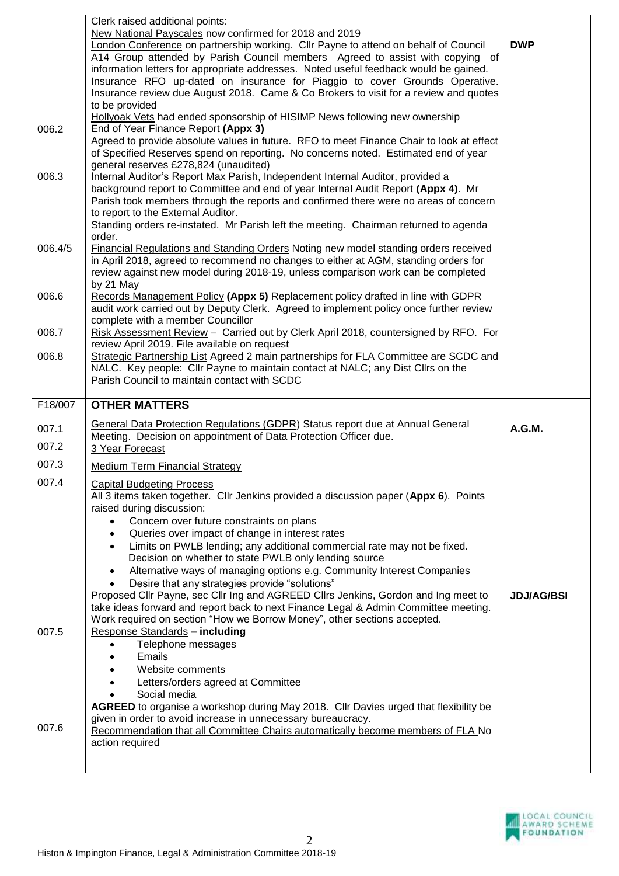|         | Clerk raised additional points:                                                                                                                                                   |                   |
|---------|-----------------------------------------------------------------------------------------------------------------------------------------------------------------------------------|-------------------|
|         | New National Payscales now confirmed for 2018 and 2019<br>London Conference on partnership working. Cllr Payne to attend on behalf of Council                                     | <b>DWP</b>        |
|         | A14 Group attended by Parish Council members Agreed to assist with copying of                                                                                                     |                   |
|         | information letters for appropriate addresses. Noted useful feedback would be gained.                                                                                             |                   |
|         | Insurance RFO up-dated on insurance for Piaggio to cover Grounds Operative.                                                                                                       |                   |
|         | Insurance review due August 2018. Came & Co Brokers to visit for a review and quotes                                                                                              |                   |
|         | to be provided<br>Hollyoak Vets had ended sponsorship of HISIMP News following new ownership                                                                                      |                   |
| 006.2   | End of Year Finance Report (Appx 3)                                                                                                                                               |                   |
|         | Agreed to provide absolute values in future. RFO to meet Finance Chair to look at effect                                                                                          |                   |
|         | of Specified Reserves spend on reporting. No concerns noted. Estimated end of year                                                                                                |                   |
|         | general reserves £278,824 (unaudited)                                                                                                                                             |                   |
| 006.3   | Internal Auditor's Report Max Parish, Independent Internal Auditor, provided a<br>background report to Committee and end of year Internal Audit Report (Appx 4). Mr               |                   |
|         | Parish took members through the reports and confirmed there were no areas of concern                                                                                              |                   |
|         | to report to the External Auditor.                                                                                                                                                |                   |
|         | Standing orders re-instated. Mr Parish left the meeting. Chairman returned to agenda                                                                                              |                   |
|         | order.                                                                                                                                                                            |                   |
| 006.4/5 | <b>Financial Regulations and Standing Orders Noting new model standing orders received</b><br>in April 2018, agreed to recommend no changes to either at AGM, standing orders for |                   |
|         | review against new model during 2018-19, unless comparison work can be completed                                                                                                  |                   |
|         | by 21 May                                                                                                                                                                         |                   |
| 006.6   | Records Management Policy (Appx 5) Replacement policy drafted in line with GDPR                                                                                                   |                   |
|         | audit work carried out by Deputy Clerk. Agreed to implement policy once further review                                                                                            |                   |
| 006.7   | complete with a member Councillor                                                                                                                                                 |                   |
|         | Risk Assessment Review - Carried out by Clerk April 2018, countersigned by RFO. For<br>review April 2019. File available on request                                               |                   |
| 006.8   | Strategic Partnership List Agreed 2 main partnerships for FLA Committee are SCDC and                                                                                              |                   |
|         | NALC. Key people: Cllr Payne to maintain contact at NALC; any Dist Cllrs on the                                                                                                   |                   |
|         | Parish Council to maintain contact with SCDC                                                                                                                                      |                   |
|         |                                                                                                                                                                                   |                   |
| F18/007 | <b>OTHER MATTERS</b>                                                                                                                                                              |                   |
|         |                                                                                                                                                                                   |                   |
| 007.1   | General Data Protection Regulations (GDPR) Status report due at Annual General                                                                                                    | A.G.M.            |
| 007.2   | Meeting. Decision on appointment of Data Protection Officer due.<br>3 Year Forecast                                                                                               |                   |
| 007.3   | <b>Medium Term Financial Strategy</b>                                                                                                                                             |                   |
|         |                                                                                                                                                                                   |                   |
| 007.4   | <b>Capital Budgeting Process</b>                                                                                                                                                  |                   |
|         | All 3 items taken together. Cllr Jenkins provided a discussion paper (Appx 6). Points<br>raised during discussion:                                                                |                   |
|         | Concern over future constraints on plans                                                                                                                                          |                   |
|         | Queries over impact of change in interest rates                                                                                                                                   |                   |
|         | Limits on PWLB lending; any additional commercial rate may not be fixed.<br>$\bullet$                                                                                             |                   |
|         | Decision on whether to state PWLB only lending source                                                                                                                             |                   |
|         | Alternative ways of managing options e.g. Community Interest Companies<br>٠                                                                                                       |                   |
|         | Desire that any strategies provide "solutions"<br>Proposed Cllr Payne, sec Cllr Ing and AGREED Cllrs Jenkins, Gordon and Ing meet to                                              | <b>JDJ/AG/BSI</b> |
|         | take ideas forward and report back to next Finance Legal & Admin Committee meeting.                                                                                               |                   |
|         | Work required on section "How we Borrow Money", other sections accepted.                                                                                                          |                   |
| 007.5   | Response Standards - including                                                                                                                                                    |                   |
|         | Telephone messages<br>Emails<br>٠                                                                                                                                                 |                   |
|         | Website comments                                                                                                                                                                  |                   |
|         | Letters/orders agreed at Committee                                                                                                                                                |                   |
|         | Social media                                                                                                                                                                      |                   |
|         | AGREED to organise a workshop during May 2018. Cllr Davies urged that flexibility be                                                                                              |                   |
| 007.6   | given in order to avoid increase in unnecessary bureaucracy.                                                                                                                      |                   |
|         | Recommendation that all Committee Chairs automatically become members of FLA No<br>action required                                                                                |                   |
|         |                                                                                                                                                                                   |                   |